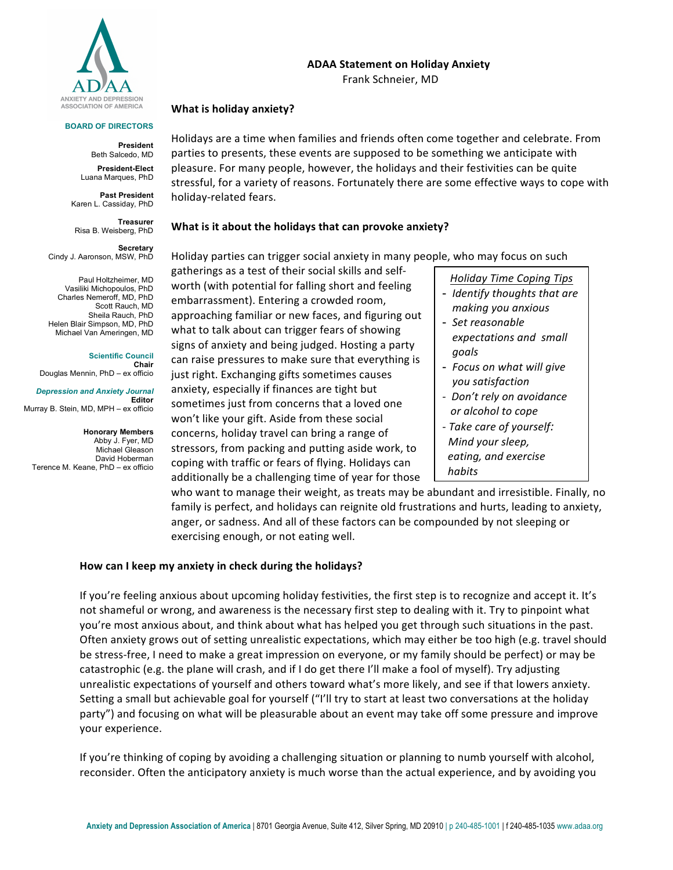

**BOARD OF DIRECTORS**

**President** Beth Salcedo, MD **President-Elect** Luana Marques, PhD **Past President** Karen L. Cassiday, PhD

**Treasurer**

**Secretary** 

Risa B. Weisberg, PhD

Paul Holtzheimer, MD Vasiliki Michopoulos, PhD

Cindy J. Aaronson, MSW, PhD

## **ADAA Statement on Holiday Anxiety**

Frank Schneier, MD

## **What is holiday anxiety?**

Holidays are a time when families and friends often come together and celebrate. From parties to presents, these events are supposed to be something we anticipate with pleasure. For many people, however, the holidays and their festivities can be quite stressful, for a variety of reasons. Fortunately there are some effective ways to cope with holiday-related fears.

## **What is it about the holidays that can provoke anxiety?**

Holiday parties can trigger social anxiety in many people, who may focus on such

gatherings as a test of their social skills and selfworth (with potential for falling short and feeling embarrassment). Entering a crowded room, approaching familiar or new faces, and figuring out what to talk about can trigger fears of showing signs of anxiety and being judged. Hosting a party can raise pressures to make sure that everything is just right. Exchanging gifts sometimes causes anxiety, especially if finances are tight but sometimes just from concerns that a loved one won't like your gift. Aside from these social concerns, holiday travel can bring a range of stressors, from packing and putting aside work, to coping with traffic or fears of flying. Holidays can additionally be a challenging time of year for those

*Holiday Time Coping Tips* - *Identify thoughts that are* 

- *making you anxious* - Set reasonable
- *expectations and small goals*
- Focus on what will give *you satisfaction*
- *- Don't rely on avoidance or alcohol to cope - Take care of yourself: Mind* your sleep,
- *eating, and exercise habits*

who want to manage their weight, as treats may be abundant and irresistible. Finally, no family is perfect, and holidays can reignite old frustrations and hurts, leading to anxiety, anger, or sadness. And all of these factors can be compounded by not sleeping or exercising enough, or not eating well.

## How can I keep my anxiety in check during the holidays?

If you're feeling anxious about upcoming holiday festivities, the first step is to recognize and accept it. It's not shameful or wrong, and awareness is the necessary first step to dealing with it. Try to pinpoint what you're most anxious about, and think about what has helped you get through such situations in the past. Often anxiety grows out of setting unrealistic expectations, which may either be too high (e.g. travel should be stress-free, I need to make a great impression on everyone, or my family should be perfect) or may be catastrophic (e.g. the plane will crash, and if I do get there I'll make a fool of myself). Try adjusting unrealistic expectations of yourself and others toward what's more likely, and see if that lowers anxiety. Setting a small but achievable goal for yourself ("I'll try to start at least two conversations at the holiday party") and focusing on what will be pleasurable about an event may take off some pressure and improve your experience.

If you're thinking of coping by avoiding a challenging situation or planning to numb yourself with alcohol, reconsider. Often the anticipatory anxiety is much worse than the actual experience, and by avoiding you

Charles Nemeroff, MD, PhD Scott Rauch, MD Sheila Rauch, PhD Helen Blair Simpson, MD, PhD Michael Van Ameringen, MD

**Scientific Council Chair** Douglas Mennin, PhD – ex officio

*Depression and Anxiety Journal* **Editor**

Murray B. Stein, MD, MPH – ex officio

**Honorary Members** Abby J. Fyer, MD Michael Gleason David Hoberman Terence M. Keane, PhD – ex officio